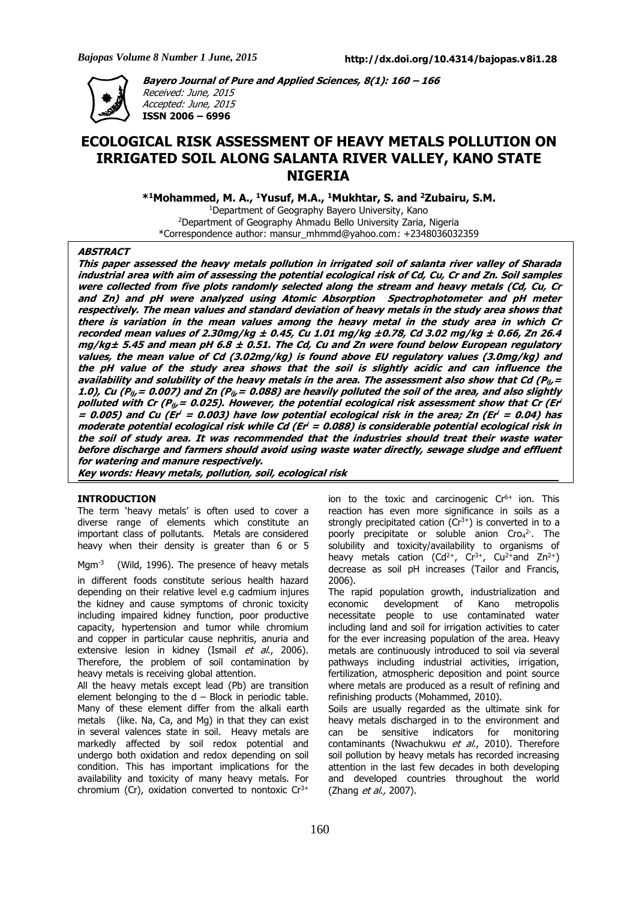**ISSN 2006 – 6996**



**Bayero Journal of Pure and Applied Sciences, 8(1): 160 – 166** Received: June, 2015 Accepted: June, 2015

# **ECOLOGICAL RISK ASSESSMENT OF HEAVY METALS POLLUTION ON IRRIGATED SOIL ALONG SALANTA RIVER VALLEY, KANO STATE NIGERIA**

**\* <sup>1</sup>Mohammed, M. A., <sup>1</sup>Yusuf, M.A., <sup>1</sup>Mukhtar, S. and <sup>2</sup>Zubairu, S.M.**

<sup>1</sup>Department of Geography Bayero University, Kano <sup>2</sup>Department of Geography Ahmadu Bello University Zaria, Nigeria \*Correspondence author: mansur\_mhmmd@yahoo.com: +2348036032359

## **ABSTRACT**

This paper assessed the heavy metals pollution in irrigated soil of salanta river valley of Sharada industrial area with aim of assessing the potential ecological risk of Cd, Cu, Cr and Zn. Soil samples were collected from five plots randomly selected along the stream and heavy metals (Cd, Cu, Cr and Zn) and pH were analyzed using Atomic Absorption Spectrophotometer and pH meter respectively. The mean values and standard deviation of heavy metals in the study area shows that there is variation in the mean values among the heavy metal in the study area in which Cr recorded mean values of 2.30mg/kg  $\pm$  0.45, Cu 1.01 mg/kg  $\pm$ 0.78, Cd 3.02 mg/kg  $\pm$  0.66, Zn 26.4  $mg/kg \pm 5.45$  and mean pH 6.8  $\pm$  0.51. The Cd, Cu and Zn were found below European regulatory values, the mean value of Cd (3.02mg/kg) is found above EU regulatory values (3.0mg/kg) and the pH value of the study area shows that the soil is slightly acidic and can influence the availability and solubility of the heavy metals in the area. The assessment also show that Cd ( $P_{ij}$  = 1.0), Cu ( $P_{ij}$  = 0.007) and Zn ( $P_{ij}$  = 0.088) are heavily polluted the soil of the area, and also slightly polluted with Cr (P $_{\it ij}$ = 0.025). However, the potential ecological risk assessment show that Cr (Er $^{\it i}$ = 0.005) and Cu (Er' = 0.003) have low potential ecological risk in the area; Zn (Er' = 0.04) has moderate potential ecological risk while Cd (Er' = 0.088) is considerable potential ecological risk in the soil of study area. It was recommended that the industries should treat their waste water before discharge and farmers should avoid using waste water directly, sewage sludge and effluent **for watering and manure respectively.**

**Key words: Heavy metals, pollution, soil, ecological risk**

# **INTRODUCTION**

The term 'heavy metals' is often used to cover a diverse range of elements which constitute an important class of pollutants. Metals are considered heavy when their density is greater than 6 or 5

Mgm<sup>-3</sup> (Wild, 1996). The presence of heavy metals

in different foods constitute serious health hazard depending on their relative level e.g cadmium injures the kidney and cause symptoms of chronic toxicity including impaired kidney function, poor productive capacity, hypertension and tumor while chromium and copper in particular cause nephritis, anuria and extensive lesion in kidney (Ismail et al., 2006). Therefore, the problem of soil contamination by heavy metals is receiving global attention.

All the heavy metals except lead (Pb) are transition element belonging to the  $d$  – Block in periodic table. Many of these element differ from the alkali earth metals (like. Na, Ca, and Mg) in that they can exist in several valences state in soil. Heavy metals are markedly affected by soil redox potential and undergo both oxidation and redox depending on soil condition. This has important implications for the availability and toxicity of many heavy metals. For chromium (Cr), oxidation converted to nontoxic  $Cr^{3+}$ 

ion to the toxic and carcinogenic  $Cr<sup>6+</sup>$  ion. This reaction has even more significance in soils as a strongly precipitated cation  $(Cr^{3+})$  is converted in to a poorly precipitate or soluble anion  $Cro<sub>4</sub><sup>2</sup>$ . The solubility and toxicity/availability to organisms of heavy metals cation (Cd<sup>2+</sup>, Cr<sup>3+</sup>, Cu<sup>2+</sup>and Zn<sup>2+</sup>) decrease as soil pH increases (Tailor and Francis, 2006).

The rapid population growth, industrialization and economic development of Kano metropolis necessitate people to use contaminated water including land and soil for irrigation activities to cater for the ever increasing population of the area. Heavy metals are continuously introduced to soil via several pathways including industrial activities, irrigation, fertilization, atmospheric deposition and point source where metals are produced as a result of refining and refinishing products (Mohammed, 2010).

Soils are usually regarded as the ultimate sink for heavy metals discharged in to the environment and can be sensitive indicators for monitoring contaminants (Nwachukwu et al., 2010). Therefore soil pollution by heavy metals has recorded increasing attention in the last few decades in both developing and developed countries throughout the world (Zhang *et al.*, 2007).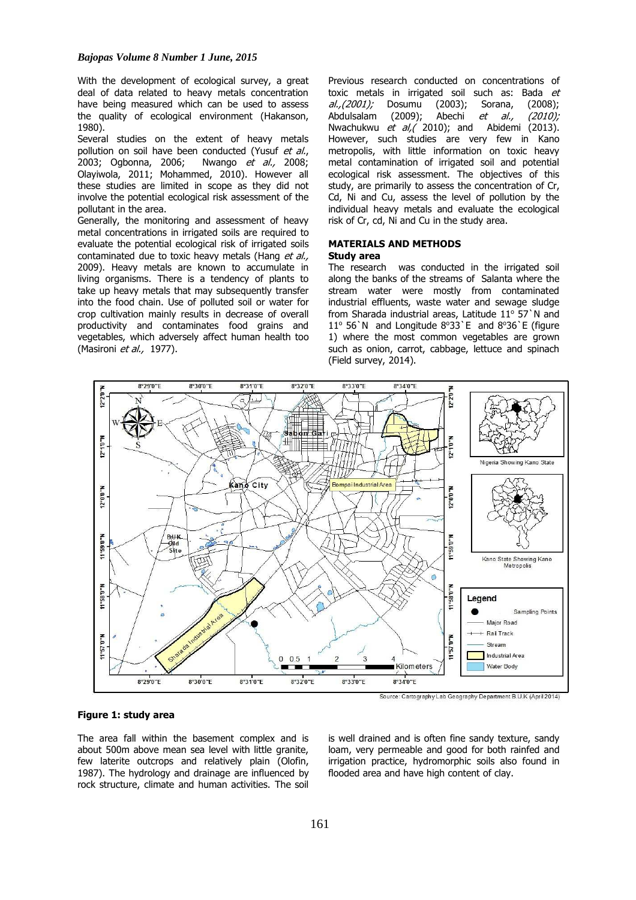With the development of ecological survey, a great deal of data related to heavy metals concentration have being measured which can be used to assess the quality of ecological environment (Hakanson, 1980).

Several studies on the extent of heavy metals pollution on soil have been conducted (Yusuf et al., 2003; Ogbonna, 2006; Nwango et al., 2008; Olayiwola, 2011; Mohammed, 2010). However all these studies are limited in scope as they did not involve the potential ecological risk assessment of the pollutant in the area.

Generally, the monitoring and assessment of heavy metal concentrations in irrigated soils are required to evaluate the potential ecological risk of irrigated soils contaminated due to toxic heavy metals (Hang et al., 2009). Heavy metals are known to accumulate in living organisms. There is a tendency of plants to take up heavy metals that may subsequently transfer into the food chain. Use of polluted soil or water for crop cultivation mainly results in decrease of overall productivity and contaminates food grains and vegetables, which adversely affect human health too (Masironi et al., 1977).

Previous research conducted on concentrations of toxic metals in irrigated soil such as: Bada et al.,(2001); Dosumu (2003); Sorana, (2008); Abdulsalam (2009); Abechi et al., (2010); Nwachukwu et al, (2010); and Abidemi (2013). However, such studies are very few in Kano metropolis, with little information on toxic heavy metal contamination of irrigated soil and potential ecological risk assessment. The objectives of this study, are primarily to assess the concentration of Cr, Cd, Ni and Cu, assess the level of pollution by the individual heavy metals and evaluate the ecological risk of Cr, cd, Ni and Cu in the study area.

### **MATERIALS AND METHODS Study area**

The research was conducted in the irrigated soil along the banks of the streams of Salanta where the stream water were mostly from contaminated industrial effluents, waste water and sewage sludge from Sharada industrial areas, Latitude  $11^{\circ}$  57`N and 11 $\degree$  56`N and Longitude 8 $\degree$ 33`E and 8 $\degree$ 36`E (figure 1) where the most common vegetables are grown such as onion, carrot, cabbage, lettuce and spinach (Field survey, 2014).



#### **Figure 1: study area**

The area fall within the basement complex and is about 500m above mean sea level with little granite, few laterite outcrops and relatively plain (Olofin, 1987). The hydrology and drainage are influenced by rock structure, climate and human activities. The soil is well drained and is often fine sandy texture, sandy loam, very permeable and good for both rainfed and irrigation practice, hydromorphic soils also found in flooded area and have high content of clay.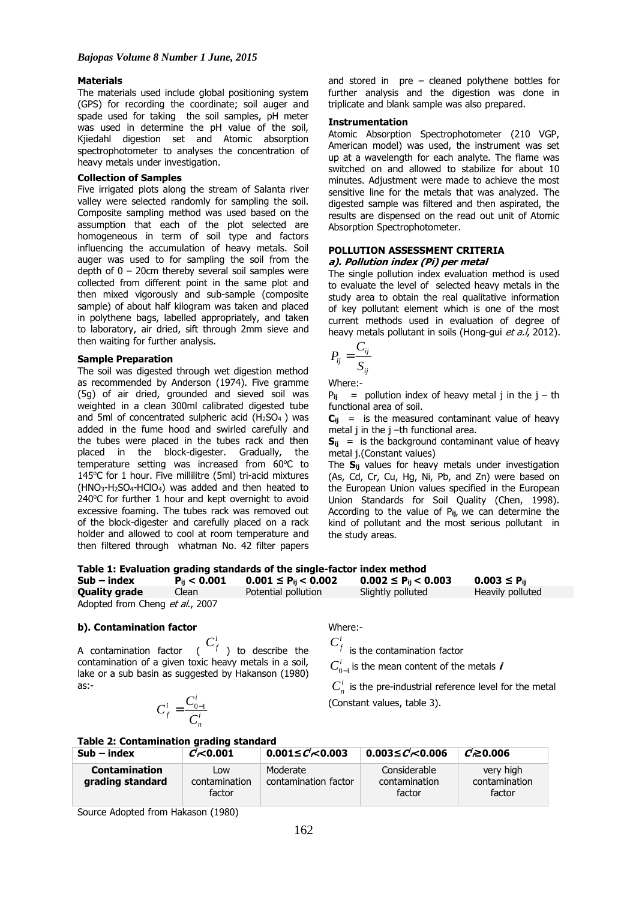#### **Materials**

The materials used include global positioning system (GPS) for recording the coordinate; soil auger and spade used for taking the soil samples, pH meter was used in determine the pH value of the soil, Kjiedahl digestion set and Atomic absorption spectrophotometer to analyses the concentration of heavy metals under investigation.

## **Collection of Samples**

Five irrigated plots along the stream of Salanta river valley were selected randomly for sampling the soil. Composite sampling method was used based on the assumption that each of the plot selected are homogeneous in term of soil type and factors influencing the accumulation of heavy metals. Soil auger was used to for sampling the soil from the depth of  $0 - 20$ cm thereby several soil samples were collected from different point in the same plot and then mixed vigorously and sub-sample (composite sample) of about half kilogram was taken and placed in polythene bags, labelled appropriately, and taken to laboratory, air dried, sift through 2mm sieve and then waiting for further analysis.

#### **Sample Preparation**

The soil was digested through wet digestion method as recommended by Anderson (1974). Five gramme (5g) of air dried, grounded and sieved soil was weighted in a clean 300ml calibrated digested tube and 5ml of concentrated sulpheric acid  $(H<sub>2</sub>SO<sub>4</sub>)$  was added in the fume hood and swirled carefully and the tubes were placed in the tubes rack and then placed in the block-digester. Gradually, the temperature setting was increased from  $60^{\circ}$ C to 145 $°C$  for 1 hour. Five millilitre (5ml) tri-acid mixtures  $(HNO<sub>3</sub>-H<sub>2</sub>SO<sub>4</sub>-HClO<sub>4</sub>)$  was added and then heated to 240 $\degree$ C for further 1 hour and kept overnight to avoid excessive foaming. The tubes rack was removed out of the block-digester and carefully placed on a rack holder and allowed to cool at room temperature and then filtered through whatman No. 42 filter papers

and stored in pre – cleaned polythene bottles for further analysis and the digestion was done in triplicate and blank sample was also prepared.

#### **Instrumentation**

Atomic Absorption Spectrophotometer (210 VGP, American model) was used, the instrument was set up at a wavelength for each analyte. The flame was switched on and allowed to stabilize for about 10 minutes. Adjustment were made to achieve the most sensitive line for the metals that was analyzed. The digested sample was filtered and then aspirated, the results are dispensed on the read out unit of Atomic Absorption Spectrophotometer.

# **POLLUTION ASSESSMENT CRITERIA a). Pollution index (Pi) per metal**

The single pollution index evaluation method is used to evaluate the level of selected heavy metals in the study area to obtain the real qualitative information of key pollutant element which is one of the most current methods used in evaluation of degree of heavy metals pollutant in soils (Hong-gui et a./, 2012).

$$
P_{ij} = \frac{C_{ij}}{S_{ij}}
$$

Where:-

 $P_{ij}$  = pollution index of heavy metal j in the  $j - th$ functional area of soil.

 $C_{ij}$  = is the measured contaminant value of heavy metal j in the j –th functional area.

 $S_{ii}$  = is the background contaminant value of heavy metal j.(Constant values)

The **Sij** values for heavy metals under investigation (As, Cd, Cr, Cu, Hg, Ni, Pb, and Zn) were based on the European Union values specified in the European Union Standards for Soil Quality (Chen, 1998). According to the value of P**ij,** we can determine the kind of pollutant and the most serious pollutant in the study areas.

| Table 1: Evaluation grading standards of the single-factor index method |                  |                             |                             |                     |  |
|-------------------------------------------------------------------------|------------------|-----------------------------|-----------------------------|---------------------|--|
| $Sub - index$                                                           | $P_{ii}$ < 0.001 | $0.001 \leq P_{ii} < 0.002$ | $0.002 \leq P_{ii} < 0.003$ | $0.003 \leq P_{ii}$ |  |
| <b>Quality grade</b>                                                    | Clean            | Potential pollution         | Slightly polluted           | Heavily polluted    |  |
| Adopted from Cheng et al., 2007                                         |                  |                             |                             |                     |  |

## **b). Contamination factor**

A contamination factor  $\quad \ \ \, C_f^i \,$  ) to describe the contamination of a given toxic heavy metals in a soil, lake or a sub basin as suggested by Hakanson (1980) as:-

$$
C_f^i = \frac{C_{0-1}^i}{C_n^i}
$$

Where:-

 $C_f^i$  is the contamination factor

 $C_{0-1}^i$  is the mean content of the metals **i** 

 $C_n^i$  is the pre-industrial reference level for the metal (Constant values, table 3).

#### **Table 2: Contamination grading standard**

| $Sub - index$                     | C <sub>0.001</sub>             | $0.001 \leq C \leq 0.003$        | 0.003 $\leq$ <i>C</i> $\lt$ 0.006       | $C \ge 0.006$                        |
|-----------------------------------|--------------------------------|----------------------------------|-----------------------------------------|--------------------------------------|
| Contamination<br>grading standard | Low<br>contamination<br>factor | Moderate<br>contamination factor | Considerable<br>contamination<br>factor | very high<br>contamination<br>factor |

Source Adopted from Hakason (1980)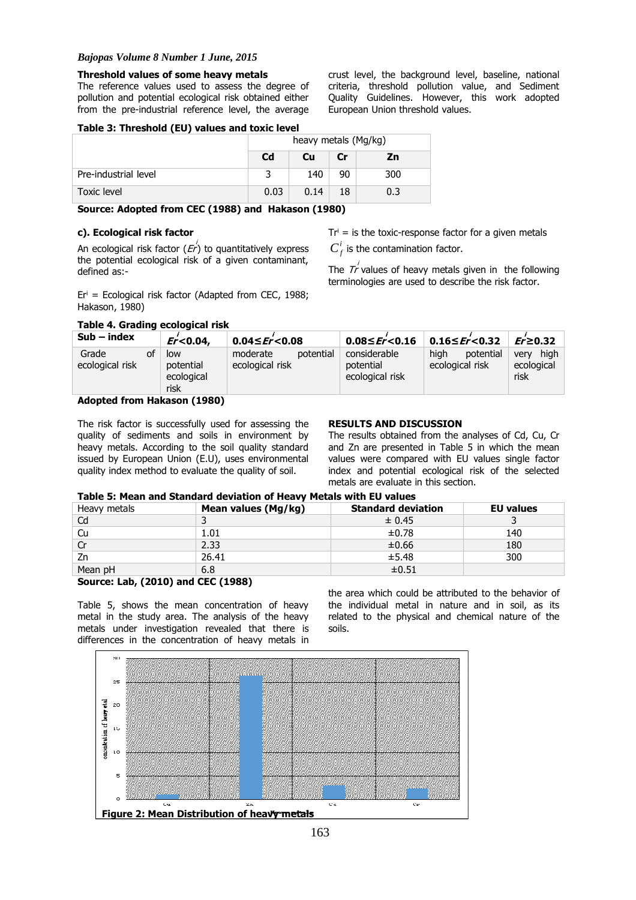# *Bajopas Volume 8 Number 1 June, 2015*

## **Threshold values of some heavy metals**

The reference values used to assess the degree of pollution and potential ecological risk obtained either from the pre-industrial reference level, the average crust level, the background level, baseline, national criteria, threshold pollution value, and Sediment Quality Guidelines. However, this work adopted European Union threshold values.

# **Table 3: Threshold (EU) values and toxic level**

|                      | heavy metals (Mg/kg) |      |    |     |
|----------------------|----------------------|------|----|-----|
|                      | C <sub>d</sub>       | Cu   | Cr | Zn  |
| Pre-industrial level |                      | 140  | 90 | 300 |
| <b>Toxic level</b>   | 0.03                 | 0.14 | 18 | 0.3 |

**Source: Adopted from CEC (1988) and Hakason (1980)**

## **c). Ecological risk factor**

An ecological risk factor ( $\overline{\it Er'}$ ) to quantitatively express the potential ecological risk of a given contaminant, defined as:-

 $Er<sup>i</sup> = Ecological risk factor (Adapted from CEC, 1988;$ Hakason, 1980)

## **Table 4. Grading ecological risk**

 $Tr<sup>i</sup>$  = is the toxic-response factor for a given metals  $C_f^i$  is the contamination factor.

The  $\overline{\mathcal{I}'}$  values of heavy metals given in the following terminologies are used to describe the risk factor.

| $Sub - index$            |    | $Er< 0.04$ ,                           | $0.04 \leq Fr < 0.08$                    | 0.08≤ $Er$ < 0.16                            | 0.16≤ <i>Er</i> <sup>'</sup> <0.32   | $Er \ge 0.32$                      |
|--------------------------|----|----------------------------------------|------------------------------------------|----------------------------------------------|--------------------------------------|------------------------------------|
| Grade<br>ecological risk | of | low<br>potential<br>ecological<br>risk | potential<br>moderate<br>ecological risk | considerable<br>potential<br>ecological risk | hiah<br>potential<br>ecological risk | high<br>verv<br>ecological<br>risk |
|                          |    |                                        |                                          |                                              |                                      |                                    |

## **Adopted from Hakason (1980)**

The risk factor is successfully used for assessing the quality of sediments and soils in environment by heavy metals. According to the soil quality standard issued by European Union (E.U), uses environmental quality index method to evaluate the quality of soil.

#### **RESULTS AND DISCUSSION**

The results obtained from the analyses of Cd, Cu, Cr and Zn are presented in Table 5 in which the mean values were compared with EU values single factor index and potential ecological risk of the selected metals are evaluate in this section.

# **Table 5: Mean and Standard deviation of Heavy Metals with EU values**

| Heavy metals | Mean values (Mg/kg) | <b>Standard deviation</b> | <b>EU</b> values |
|--------------|---------------------|---------------------------|------------------|
| Cd           |                     | ± 0.45                    |                  |
| Cu           | 1.01                | ±0.78                     | 140              |
| Cr           | 2.33                | ±0.66                     | 180              |
| Zn           | 26.41               | ±5.48                     | 300              |
| Mean pH      | 6.8                 | ±0.51                     |                  |

# **Source: Lab, (2010) and CEC (1988)**

Table 5, shows the mean concentration of heavy metal in the study area. The analysis of the heavy metals under investigation revealed that there is differences in the concentration of heavy metals in

the area which could be attributed to the behavior of the individual metal in nature and in soil, as its related to the physical and chemical nature of the soils.

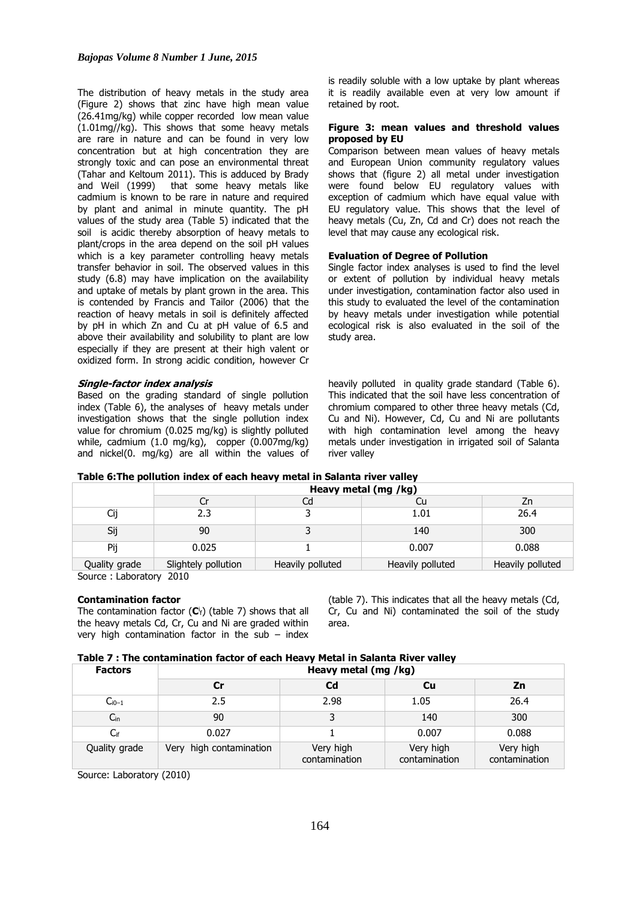The distribution of heavy metals in the study area (Figure 2) shows that zinc have high mean value (26.41mg/kg) while copper recorded low mean value (1.01mg//kg). This shows that some heavy metals are rare in nature and can be found in very low concentration but at high concentration they are strongly toxic and can pose an environmental threat (Tahar and Keltoum 2011). This is adduced by Brady and Weil (1999) that some heavy metals like cadmium is known to be rare in nature and required by plant and animal in minute quantity. The pH values of the study area (Table 5) indicated that the soil is acidic thereby absorption of heavy metals to plant/crops in the area depend on the soil pH values which is a key parameter controlling heavy metals transfer behavior in soil. The observed values in this study (6.8) may have implication on the availability and uptake of metals by plant grown in the area. This is contended by Francis and Tailor (2006) that the reaction of heavy metals in soil is definitely affected by pH in which Zn and Cu at pH value of 6.5 and above their availability and solubility to plant are low especially if they are present at their high valent or oxidized form. In strong acidic condition, however Cr

#### **Single-factor index analysis**

Based on the grading standard of single pollution index (Table 6), the analyses of heavy metals under investigation shows that the single pollution index value for chromium (0.025 mg/kg) is slightly polluted while, cadmium (1.0 mg/kg), copper (0.007mg/kg) and nickel(0. mg/kg) are all within the values of

is readily soluble with a low uptake by plant whereas it is readily available even at very low amount if retained by root.

#### **Figure 3: mean values and threshold values proposed by EU**

Comparison between mean values of heavy metals and European Union community regulatory values shows that (figure 2) all metal under investigation were found below EU regulatory values with exception of cadmium which have equal value with EU regulatory value. This shows that the level of heavy metals (Cu, Zn, Cd and Cr) does not reach the level that may cause any ecological risk.

#### **Evaluation of Degree of Pollution**

Single factor index analyses is used to find the level or extent of pollution by individual heavy metals under investigation, contamination factor also used in this study to evaluated the level of the contamination by heavy metals under investigation while potential ecological risk is also evaluated in the soil of the study area.

heavily polluted in quality grade standard (Table 6). This indicated that the soil have less concentration of chromium compared to other three heavy metals (Cd, Cu and Ni). However, Cd, Cu and Ni are pollutants with high contamination level among the heavy metals under investigation in irrigated soil of Salanta river valley

|  | Table 6: The pollution index of each heavy metal in Salanta river valley |
|--|--------------------------------------------------------------------------|
|--|--------------------------------------------------------------------------|

|               | Heavy metal (mg /kg) |                  |                  |                  |
|---------------|----------------------|------------------|------------------|------------------|
|               |                      | Cd               | Ċu               | Zn               |
|               | 2.3                  |                  | 1.01             | 26.4             |
| Sij           | 90                   |                  | 140              | 300              |
| Pij           | 0.025                |                  | 0.007            | 0.088            |
| Quality grade | Slightely pollution  | Heavily polluted | Heavily polluted | Heavily polluted |

Source : Laboratory 2010

#### **Contamination factor**

The contamination factor (C<sup>i</sup><sub>f</sub>) (table 7) shows that all the heavy metals Cd, Cr, Cu and Ni are graded within very high contamination factor in the sub  $-$  index (table 7). This indicates that all the heavy metals (Cd, Cr, Cu and Ni) contaminated the soil of the study area.

#### **Table 7 : The contamination factor of each Heavy Metal in Salanta River valley**

| <b>Factors</b>  | Heavy metal (mg /kg)    |                            |                            |                            |  |
|-----------------|-------------------------|----------------------------|----------------------------|----------------------------|--|
|                 | Cr                      | C <sub>d</sub>             | Cu                         | Zn                         |  |
| $C_{i0-1}$      | 2.5                     | 2.98                       | 1.05                       | 26.4                       |  |
| $C_{\text{in}}$ | 90                      |                            | 140                        | 300                        |  |
| $C_{if}$        | 0.027                   |                            | 0.007                      | 0.088                      |  |
| Quality grade   | Very high contamination | Very high<br>contamination | Very high<br>contamination | Very high<br>contamination |  |

Source: Laboratory (2010)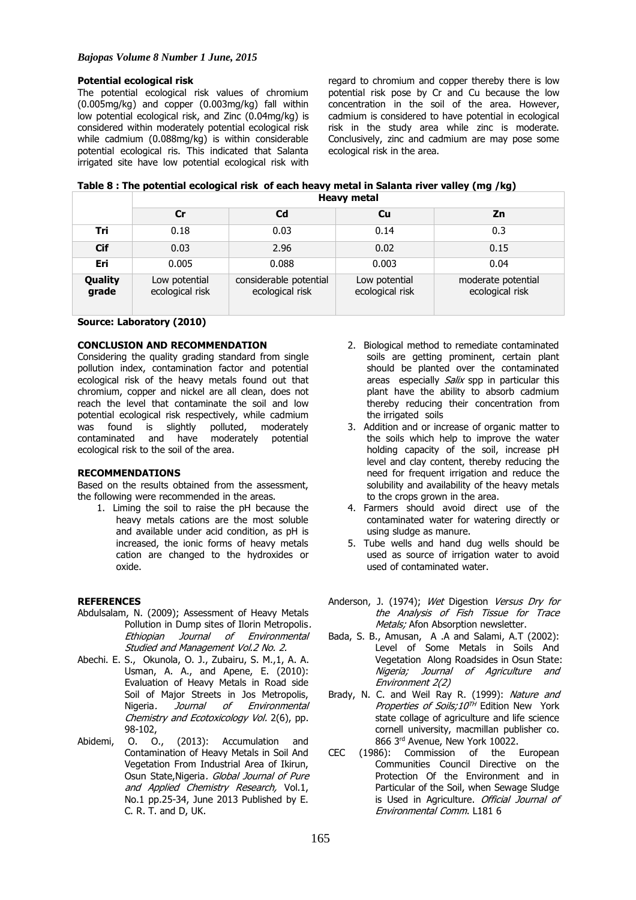#### **Potential ecological risk**

The potential ecological risk values of chromium (0.005mg/kg) and copper (0.003mg/kg) fall within low potential ecological risk, and Zinc (0.04mg/kg) is considered within moderately potential ecological risk while cadmium (0.088mg/kg) is within considerable potential ecological ris. This indicated that Salanta irrigated site have low potential ecological risk with

regard to chromium and copper thereby there is low potential risk pose by Cr and Cu because the low concentration in the soil of the area. However, cadmium is considered to have potential in ecological risk in the study area while zinc is moderate. Conclusively, zinc and cadmium are may pose some ecological risk in the area.

| Table 8 : The potential ecological risk of each heavy metal in Salanta river valley (mg /kg) |  |
|----------------------------------------------------------------------------------------------|--|
| Heavy metal                                                                                  |  |

|                  | Cr                               | Cd                                        | Cu                               | Zn                                    |
|------------------|----------------------------------|-------------------------------------------|----------------------------------|---------------------------------------|
| Tri              | 0.18                             | 0.03                                      | 0.14                             | 0.3                                   |
| <b>Cif</b>       | 0.03                             | 2.96                                      | 0.02                             | 0.15                                  |
| Eri              | 0.005                            | 0.088                                     | 0.003                            | 0.04                                  |
| Quality<br>grade | Low potential<br>ecological risk | considerable potential<br>ecological risk | Low potential<br>ecological risk | moderate potential<br>ecological risk |

## **Source: Laboratory (2010)**

## **CONCLUSION AND RECOMMENDATION**

Considering the quality grading standard from single pollution index, contamination factor and potential ecological risk of the heavy metals found out that chromium, copper and nickel are all clean, does not reach the level that contaminate the soil and low potential ecological risk respectively, while cadmium was found is slightly polluted, moderately contaminated and have moderately potential ecological risk to the soil of the area.

#### **RECOMMENDATIONS**

Based on the results obtained from the assessment, the following were recommended in the areas.

1. Liming the soil to raise the pH because the heavy metals cations are the most soluble and available under acid condition, as pH is increased, the ionic forms of heavy metals cation are changed to the hydroxides or oxide.

#### **REFERENCES**

- Abdulsalam, N. (2009); Assessment of Heavy Metals Pollution in Dump sites of Ilorin Metropolis. Ethiopian Journal of Environmental Studied and Management Vol.2 No. 2.
- Abechi. E. S., Okunola, O. J., Zubairu, S. M.,1, A. A. Usman, A. A., and Apene, E. (2010): Evaluation of Heavy Metals in Road side Soil of Major Streets in Jos Metropolis, Nigeria. Journal of Environmental Chemistry and Ecotoxicology Vol. 2(6), pp. 98-102,
- Abidemi, O. O., (2013): Accumulation and Contamination of Heavy Metals in Soil And Vegetation From Industrial Area of Ikirun, Osun State, Nigeria. Global Journal of Pure and Applied Chemistry Research, Vol.1, No.1 pp.25-34, June 2013 Published by E. C. R. T. and D, UK.
- 2. Biological method to remediate contaminated soils are getting prominent, certain plant should be planted over the contaminated areas especially Salix spp in particular this plant have the ability to absorb cadmium thereby reducing their concentration from the irrigated soils
- 3. Addition and or increase of organic matter to the soils which help to improve the water holding capacity of the soil, increase pH level and clay content, thereby reducing the need for frequent irrigation and reduce the solubility and availability of the heavy metals to the crops grown in the area.
- 4. Farmers should avoid direct use of the contaminated water for watering directly or using sludge as manure.
- 5. Tube wells and hand dug wells should be used as source of irrigation water to avoid used of contaminated water.
- Anderson, J. (1974); Wet Digestion Versus Dry for the Analysis of Fish Tissue for Trace Metals; Afon Absorption newsletter.
- Bada, S. B., Amusan, A .A and Salami, A.T (2002): Level of Some Metals in Soils And Vegetation Along Roadsides in Osun State: Nigeria; Journal of Agriculture and Environment 2(2)
- Brady, N. C. and Weil Ray R. (1999): Nature and Properties of Soils;10<sup>TH</sup> Edition New York state collage of agriculture and life science cornell university, macmillan publisher co. 866 3rd Avenue, New York 10022.
- CEC (1986): Commission of the European Communities Council Directive on the Protection Of the Environment and in Particular of the Soil, when Sewage Sludge is Used in Agriculture. Official Journal of Environmental Comm. L181 6